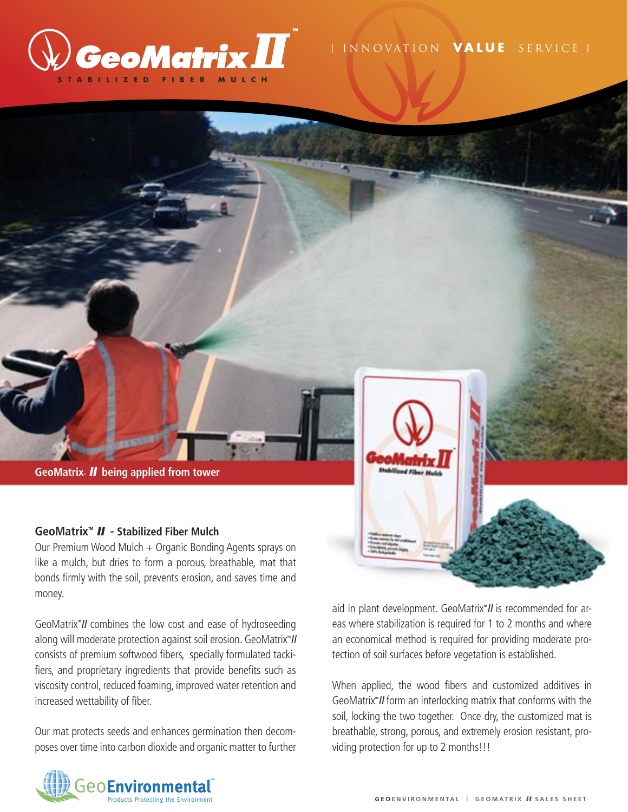

## { I N N O VAT I O N **V A L U E** S E R V I C E }



## **GeoMatrixTM** II **- Stabilized Fiber Mulch**

Our Premium Wood Mulch + Organic Bonding Agents sprays on like a mulch, but dries to form a porous, breathable, mat that bonds firmly with the soil, prevents erosion, and saves time and money.

GeoMatrix<sup>"</sup> II combines the low cost and ease of hydroseeding along will moderate protection against soil erosion. GeoMatrix<sup>\*</sup>// consists of premium softwood fibers, specially formulated tackifiers, and proprietary ingredients that provide benefits such as viscosity control, reduced foaming, improved water retention and increased wettability of fiber.

Our mat protects seeds and enhances germination then decomposes over time into carbon dioxide and organic matter to further



aid in plant development. GeoMatrix<sup>w</sup> II is recommended for areas where stabilization is required for 1 to 2 months and where an economical method is required for providing moderate protection of soil surfaces before vegetation is established.

When applied, the wood fibers and customized additives in GeoMatrix<sup>w</sup> II form an interlocking matrix that conforms with the soil, locking the two together. Once dry, the customized mat is breathable, strong, porous, and extremely erosion resistant, providing protection for up to 2 months!!!